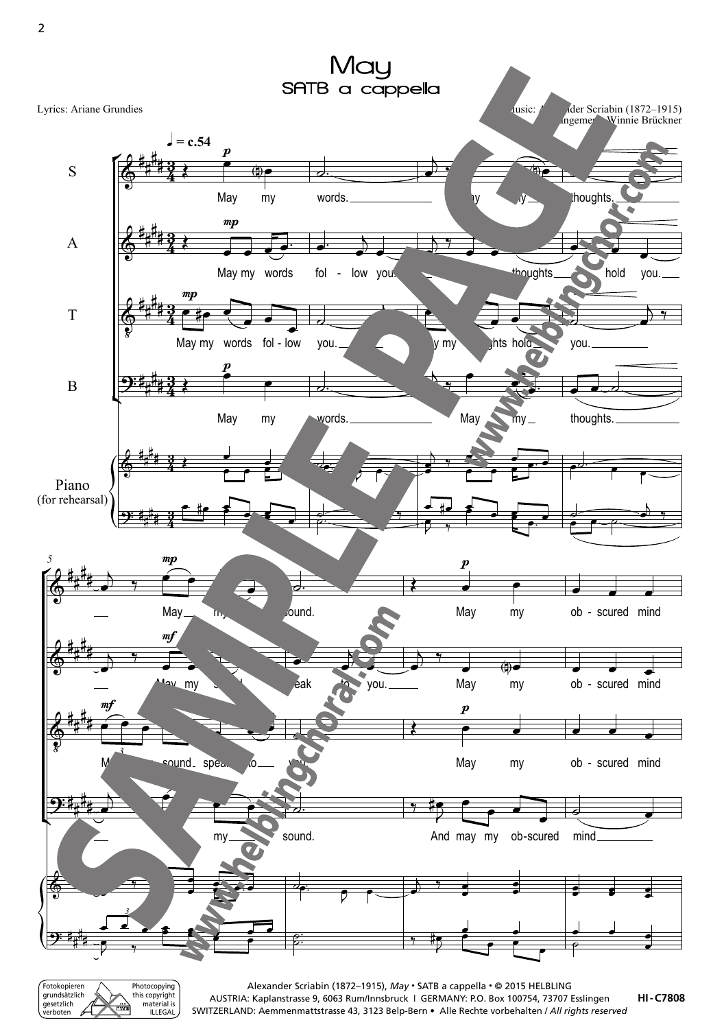

Fotokopieren grundsätzlich gesetzlich verboten Photocopying this copyright material is ILLEGAL

Alexander Scriabin (1872–1915), *May* • SATB a cappella • © 2015 Helbling Austria: Kaplanstrasse 9, 6063 Rum/Innsbruck | GERMANY: P.O. Box 100754, 73707 Esslingen SWITZERLAND: Aemmenmattstrasse 43, 3123 Belp-Bern • Alle Rechte vorbehalten / *All rights reserved*

**HI-C7808**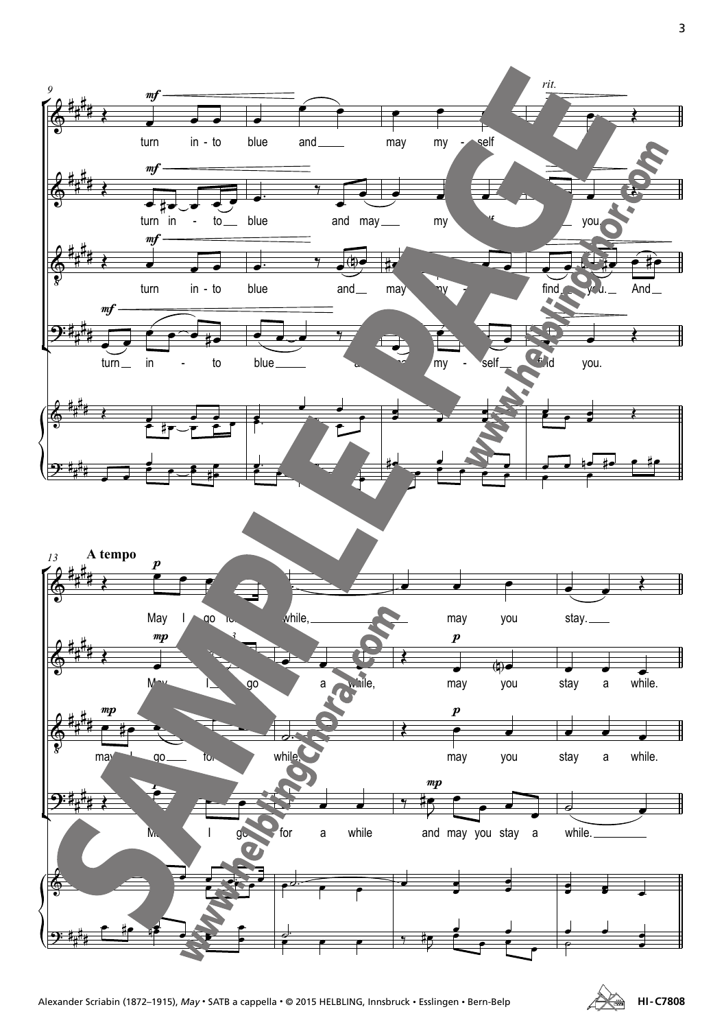



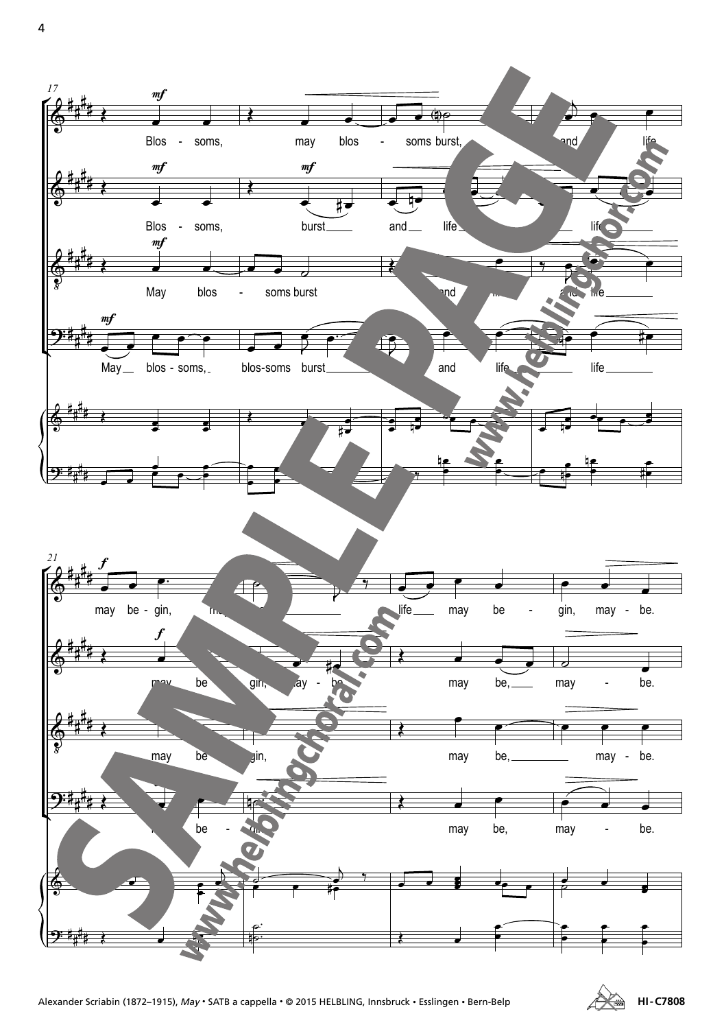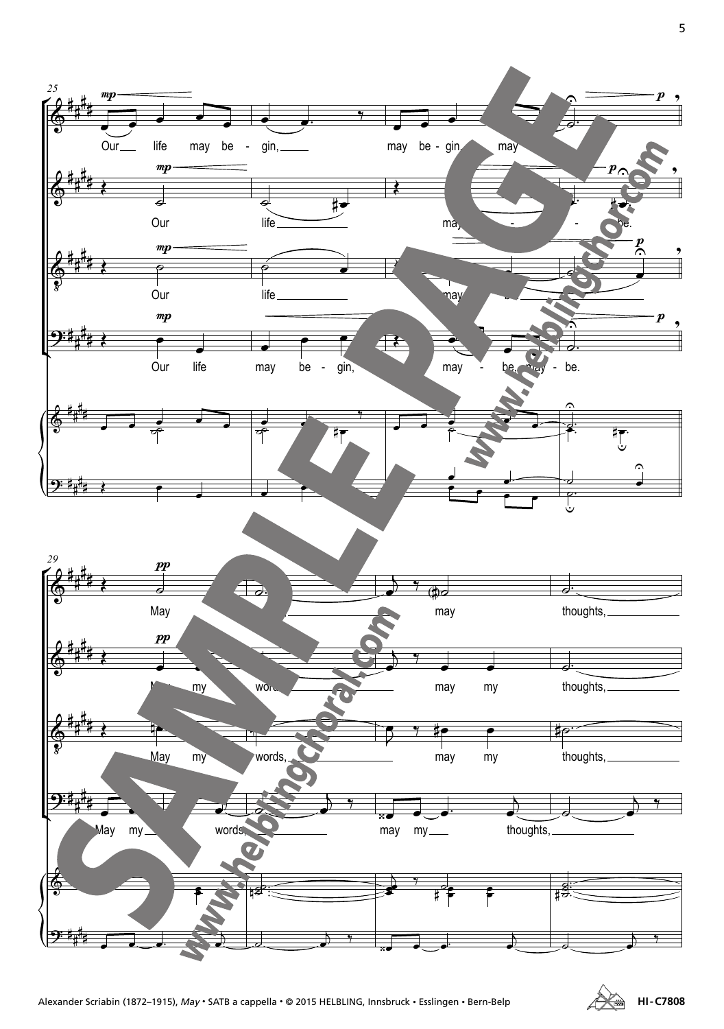